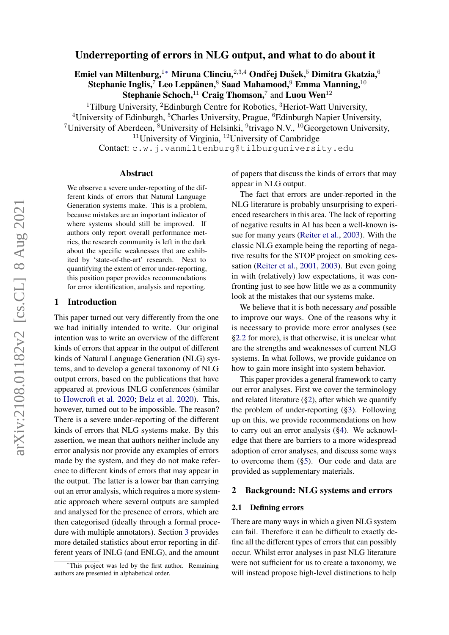# Underreporting of errors in NLG output, and what to do about it

Emiel van Miltenburg,<sup>1</sup>\* Miruna Clinciu,<sup>2,3,4</sup> Ondřej Dušek,<sup>5</sup> Dimitra Gkatzia,<sup>6</sup> Stephanie Inglis, $^7$  Leo Leppänen, $^8$  Saad Mahamood, $^9$  Emma Manning, $^{10}$ 

Stephanie Schoch, $^{11}$  Craig Thomson,<sup>7</sup> and Luou Wen<sup>12</sup>

<sup>1</sup>Tilburg University, <sup>2</sup>Edinburgh Centre for Robotics, <sup>3</sup>Heriot-Watt University,

<sup>4</sup>University of Edinburgh, <sup>5</sup>Charles University, Prague, <sup>6</sup>Edinburgh Napier University,

<sup>7</sup>University of Aberdeen, <sup>8</sup>University of Helsinki, <sup>9</sup>trivago N.V., <sup>10</sup>Georgetown University,

 $11$ University of Virginia,  $12$ University of Cambridge

Contact: c.w.j.vanmiltenburg@tilburguniversity.edu

### Abstract

We observe a severe under-reporting of the different kinds of errors that Natural Language Generation systems make. This is a problem, because mistakes are an important indicator of where systems should still be improved. If authors only report overall performance metrics, the research community is left in the dark about the specific weaknesses that are exhibited by 'state-of-the-art' research. Next to quantifying the extent of error under-reporting, this position paper provides recommendations for error identification, analysis and reporting.

### 1 Introduction

This paper turned out very differently from the one we had initially intended to write. Our original intention was to write an overview of the different kinds of errors that appear in the output of different kinds of Natural Language Generation (NLG) systems, and to develop a general taxonomy of NLG output errors, based on the publications that have appeared at previous INLG conferences (similar to [Howcroft et al.](#page-10-0) [2020;](#page-10-0) [Belz et al.](#page-9-0) [2020\)](#page-9-0). This, however, turned out to be impossible. The reason? There is a severe under-reporting of the different kinds of errors that NLG systems make. By this assertion, we mean that authors neither include any error analysis nor provide any examples of errors made by the system, and they do not make reference to different kinds of errors that may appear in the output. The latter is a lower bar than carrying out an error analysis, which requires a more systematic approach where several outputs are sampled and analysed for the presence of errors, which are then categorised (ideally through a formal procedure with multiple annotators). Section [3](#page-2-0) provides more detailed statistics about error reporting in different years of INLG (and ENLG), and the amount of papers that discuss the kinds of errors that may appear in NLG output.

The fact that errors are under-reported in the NLG literature is probably unsurprising to experienced researchers in this area. The lack of reporting of negative results in AI has been a well-known issue for many years [\(Reiter et al.,](#page-11-0) [2003\)](#page-11-0). With the classic NLG example being the reporting of negative results for the STOP project on smoking cessation [\(Reiter et al.,](#page-11-1) [2001,](#page-11-1) [2003\)](#page-11-0). But even going in with (relatively) low expectations, it was confronting just to see how little we as a community look at the mistakes that our systems make.

We believe that it is both necessary *and* possible to improve our ways. One of the reasons why it is necessary to provide more error analyses (see [§2.2](#page-1-0) for more), is that otherwise, it is unclear what are the strengths and weaknesses of current NLG systems. In what follows, we provide guidance on how to gain more insight into system behavior.

This paper provides a general framework to carry out error analyses. First we cover the terminology and related literature ([§2\)](#page-0-0), after which we quantify the problem of under-reporting ([§3\)](#page-2-0). Following up on this, we provide recommendations on how to carry out an error analysis ([§4\)](#page-3-0). We acknowledge that there are barriers to a more widespread adoption of error analyses, and discuss some ways to overcome them ([§5\)](#page-7-0). Our code and data are provided as supplementary materials.

### <span id="page-0-0"></span>2 Background: NLG systems and errors

### 2.1 Defining errors

There are many ways in which a given NLG system can fail. Therefore it can be difficult to exactly define all the different types of errors that can possibly occur. Whilst error analyses in past NLG literature were not sufficient for us to create a taxonomy, we will instead propose high-level distinctions to help

<sup>∗</sup>This project was led by the first author. Remaining authors are presented in alphabetical order.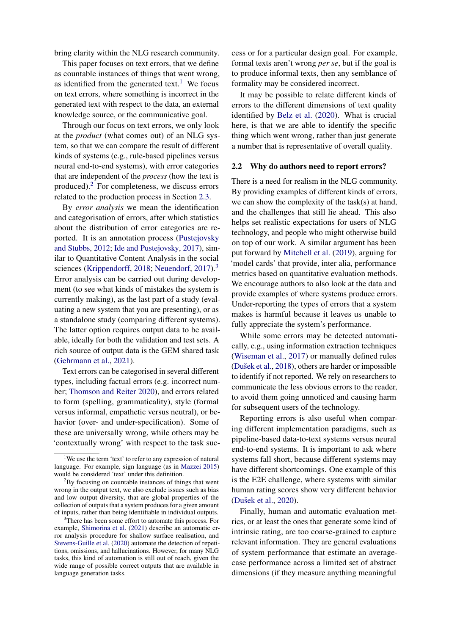bring clarity within the NLG research community.

This paper focuses on text errors, that we define as countable instances of things that went wrong, as identified from the generated text.<sup>[1](#page-1-1)</sup> We focus on text errors, where something is incorrect in the generated text with respect to the data, an external knowledge source, or the communicative goal.

Through our focus on text errors, we only look at the *product* (what comes out) of an NLG system, so that we can compare the result of different kinds of systems (e.g., rule-based pipelines versus neural end-to-end systems), with error categories that are independent of the *process* (how the text is produced).[2](#page-1-2) For completeness, we discuss errors related to the production process in Section [2.3.](#page-2-1)

By *error analysis* we mean the identification and categorisation of errors, after which statistics about the distribution of error categories are reported. It is an annotation process [\(Pustejovsky](#page-11-2) [and Stubbs,](#page-11-2) [2012;](#page-11-2) [Ide and Pustejovsky,](#page-10-1) [2017\)](#page-10-1), similar to Quantitative Content Analysis in the social sciences [\(Krippendorff,](#page-10-2) [2018;](#page-10-2) [Neuendorf,](#page-11-3) [2017\)](#page-11-3).<sup>[3](#page-1-3)</sup> Error analysis can be carried out during development (to see what kinds of mistakes the system is currently making), as the last part of a study (evaluating a new system that you are presenting), or as a standalone study (comparing different systems). The latter option requires output data to be available, ideally for both the validation and test sets. A rich source of output data is the GEM shared task [\(Gehrmann et al.,](#page-9-1) [2021\)](#page-9-1).

Text errors can be categorised in several different types, including factual errors (e.g. incorrect number; [Thomson and Reiter](#page-11-4) [2020\)](#page-11-4), and errors related to form (spelling, grammaticality), style (formal versus informal, empathetic versus neutral), or behavior (over- and under-specification). Some of these are universally wrong, while others may be 'contextually wrong' with respect to the task suc-

cess or for a particular design goal. For example, formal texts aren't wrong *per se*, but if the goal is to produce informal texts, then any semblance of formality may be considered incorrect.

It may be possible to relate different kinds of errors to the different dimensions of text quality identified by [Belz et al.](#page-9-0) [\(2020\)](#page-9-0). What is crucial here, is that we are able to identify the specific thing which went wrong, rather than just generate a number that is representative of overall quality.

### <span id="page-1-0"></span>2.2 Why do authors need to report errors?

There is a need for realism in the NLG community. By providing examples of different kinds of errors, we can show the complexity of the task(s) at hand, and the challenges that still lie ahead. This also helps set realistic expectations for users of NLG technology, and people who might otherwise build on top of our work. A similar argument has been put forward by [Mitchell et al.](#page-11-7) [\(2019\)](#page-11-7), arguing for 'model cards' that provide, inter alia, performance metrics based on quantitative evaluation methods. We encourage authors to also look at the data and provide examples of where systems produce errors. Under-reporting the types of errors that a system makes is harmful because it leaves us unable to fully appreciate the system's performance.

While some errors may be detected automatically, e.g., using information extraction techniques [\(Wiseman et al.,](#page-11-8) [2017\)](#page-11-8) or manually defined rules (Dušek et al., [2018\)](#page-9-2), others are harder or impossible to identify if not reported. We rely on researchers to communicate the less obvious errors to the reader, to avoid them going unnoticed and causing harm for subsequent users of the technology.

Reporting errors is also useful when comparing different implementation paradigms, such as pipeline-based data-to-text systems versus neural end-to-end systems. It is important to ask where systems fall short, because different systems may have different shortcomings. One example of this is the E2E challenge, where systems with similar human rating scores show very different behavior (Dušek et al., [2020\)](#page-9-3).

Finally, human and automatic evaluation metrics, or at least the ones that generate some kind of intrinsic rating, are too coarse-grained to capture relevant information. They are general evaluations of system performance that estimate an averagecase performance across a limited set of abstract dimensions (if they measure anything meaningful

<span id="page-1-1"></span><sup>&</sup>lt;sup>1</sup>We use the term 'text' to refer to any expression of natural language. For example, sign language (as in [Mazzei](#page-10-3) [2015\)](#page-10-3) would be considered 'text' under this definition.

<span id="page-1-2"></span><sup>&</sup>lt;sup>2</sup>By focusing on countable instances of things that went wrong in the output text, we also exclude issues such as bias and low output diversity, that are global properties of the collection of outputs that a system produces for a given amount of inputs, rather than being identifiable in individual outputs.

<span id="page-1-3"></span><sup>&</sup>lt;sup>3</sup>There has been some effort to automate this process. For example, [Shimorina et al.](#page-11-5) [\(2021\)](#page-11-5) describe an automatic error analysis procedure for shallow surface realisation, and [Stevens-Guille et al.](#page-11-6) [\(2020\)](#page-11-6) automate the detection of repetitions, omissions, and hallucinations. However, for many NLG tasks, this kind of automation is still out of reach, given the wide range of possible correct outputs that are available in language generation tasks.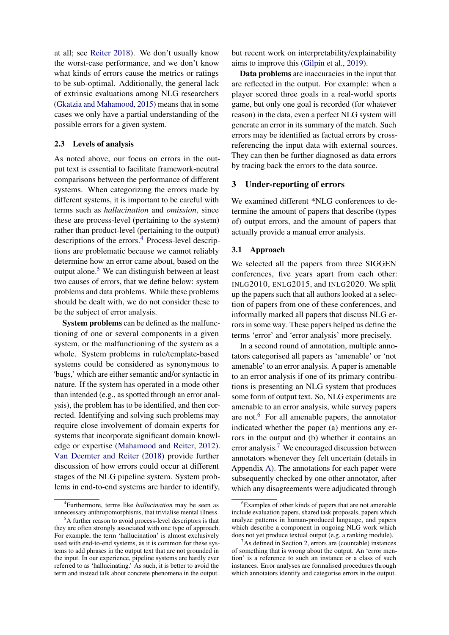at all; see [Reiter](#page-11-9) [2018\)](#page-11-9). We don't usually know the worst-case performance, and we don't know what kinds of errors cause the metrics or ratings to be sub-optimal. Additionally, the general lack of extrinsic evaluations among NLG researchers [\(Gkatzia and Mahamood,](#page-10-4) [2015\)](#page-10-4) means that in some cases we only have a partial understanding of the possible errors for a given system.

# <span id="page-2-1"></span>2.3 Levels of analysis

As noted above, our focus on errors in the output text is essential to facilitate framework-neutral comparisons between the performance of different systems. When categorizing the errors made by different systems, it is important to be careful with terms such as *hallucination* and *omission*, since these are process-level (pertaining to the system) rather than product-level (pertaining to the output) descriptions of the errors.<sup>[4](#page-2-2)</sup> Process-level descriptions are problematic because we cannot reliably determine how an error came about, based on the output alone.[5](#page-2-3) We can distinguish between at least two causes of errors, that we define below: system problems and data problems. While these problems should be dealt with, we do not consider these to be the subject of error analysis.

System problems can be defined as the malfunctioning of one or several components in a given system, or the malfunctioning of the system as a whole. System problems in rule/template-based systems could be considered as synonymous to 'bugs,' which are either semantic and/or syntactic in nature. If the system has operated in a mode other than intended (e.g., as spotted through an error analysis), the problem has to be identified, and then corrected. Identifying and solving such problems may require close involvement of domain experts for systems that incorporate significant domain knowledge or expertise [\(Mahamood and Reiter,](#page-10-5) [2012\)](#page-10-5). [Van Deemter and Reiter](#page-9-4) [\(2018\)](#page-9-4) provide further discussion of how errors could occur at different stages of the NLG pipeline system. System problems in end-to-end systems are harder to identify,

but recent work on interpretability/explainability aims to improve this [\(Gilpin et al.,](#page-10-6) [2019\)](#page-10-6).

Data problems are inaccuracies in the input that are reflected in the output. For example: when a player scored three goals in a real-world sports game, but only one goal is recorded (for whatever reason) in the data, even a perfect NLG system will generate an error in its summary of the match. Such errors may be identified as factual errors by crossreferencing the input data with external sources. They can then be further diagnosed as data errors by tracing back the errors to the data source.

## <span id="page-2-0"></span>3 Under-reporting of errors

We examined different \*NLG conferences to determine the amount of papers that describe (types of) output errors, and the amount of papers that actually provide a manual error analysis.

## 3.1 Approach

We selected all the papers from three SIGGEN conferences, five years apart from each other: INLG2010, ENLG2015, and INLG2020. We split up the papers such that all authors looked at a selection of papers from one of these conferences, and informally marked all papers that discuss NLG errors in some way. These papers helped us define the terms 'error' and 'error analysis' more precisely.

In a second round of annotation, multiple annotators categorised all papers as 'amenable' or 'not amenable' to an error analysis. A paper is amenable to an error analysis if one of its primary contributions is presenting an NLG system that produces some form of output text. So, NLG experiments are amenable to an error analysis, while survey papers are not. $6$  For all amenable papers, the annotator indicated whether the paper (a) mentions any errors in the output and (b) whether it contains an error analysis.<sup>[7](#page-2-5)</sup> We encouraged discussion between annotators whenever they felt uncertain (details in Appendix [A\)](#page-12-0). The annotations for each paper were subsequently checked by one other annotator, after which any disagreements were adjudicated through

<span id="page-2-2"></span><sup>4</sup> Furthermore, terms like *hallucination* may be seen as unnecessary anthropomorphisms, that trivialise mental illness.

<span id="page-2-3"></span><sup>&</sup>lt;sup>5</sup>A further reason to avoid process-level descriptors is that they are often strongly associated with one type of approach. For example, the term 'hallucination' is almost exclusively used with end-to-end systems, as it is common for these systems to add phrases in the output text that are not grounded in the input. In our experience, pipeline systems are hardly ever referred to as 'hallucinating.' As such, it is better to avoid the term and instead talk about concrete phenomena in the output.

<span id="page-2-4"></span><sup>&</sup>lt;sup>6</sup>Examples of other kinds of papers that are not amenable include evaluation papers, shared task proposals, papers which analyze patterns in human-produced language, and papers which describe a component in ongoing NLG work which does not yet produce textual output (e.g. a ranking module).

<span id="page-2-5"></span> $7$ As defined in Section [2,](#page-0-0) errors are (countable) instances of something that is wrong about the output. An 'error mention' is a reference to such an instance or a class of such instances. Error analyses are formalised procedures through which annotators identify and categorise errors in the output.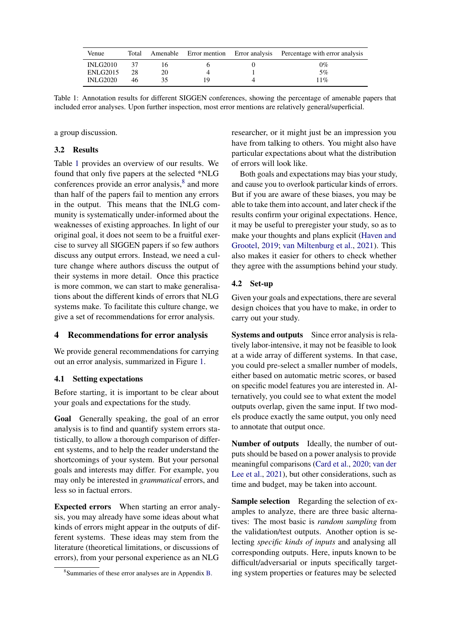<span id="page-3-1"></span>

| Venue           | Total |    |  | Amenable Error mention Error analysis Percentage with error analysis |
|-----------------|-------|----|--|----------------------------------------------------------------------|
| INLG2010        |       |    |  | $0\%$                                                                |
| ENLG2015        | 28    | 20 |  | $5\%$                                                                |
| <b>INLG2020</b> | 46    |    |  | $1\%$                                                                |

Table 1: Annotation results for different SIGGEN conferences, showing the percentage of amenable papers that included error analyses. Upon further inspection, most error mentions are relatively general/superficial.

a group discussion.

## 3.2 Results

Table [1](#page-3-1) provides an overview of our results. We found that only five papers at the selected \*NLG conferences provide an error analysis,<sup>[8](#page-3-2)</sup> and more than half of the papers fail to mention any errors in the output. This means that the INLG community is systematically under-informed about the weaknesses of existing approaches. In light of our original goal, it does not seem to be a fruitful exercise to survey all SIGGEN papers if so few authors discuss any output errors. Instead, we need a culture change where authors discuss the output of their systems in more detail. Once this practice is more common, we can start to make generalisations about the different kinds of errors that NLG systems make. To facilitate this culture change, we give a set of recommendations for error analysis.

# <span id="page-3-0"></span>4 Recommendations for error analysis

We provide general recommendations for carrying out an error analysis, summarized in Figure [1.](#page-4-0)

# 4.1 Setting expectations

Before starting, it is important to be clear about your goals and expectations for the study.

Goal Generally speaking, the goal of an error analysis is to find and quantify system errors statistically, to allow a thorough comparison of different systems, and to help the reader understand the shortcomings of your system. But your personal goals and interests may differ. For example, you may only be interested in *grammatical* errors, and less so in factual errors.

Expected errors When starting an error analysis, you may already have some ideas about what kinds of errors might appear in the outputs of different systems. These ideas may stem from the literature (theoretical limitations, or discussions of errors), from your personal experience as an NLG

researcher, or it might just be an impression you have from talking to others. You might also have particular expectations about what the distribution of errors will look like.

Both goals and expectations may bias your study, and cause you to overlook particular kinds of errors. But if you are aware of these biases, you may be able to take them into account, and later check if the results confirm your original expectations. Hence, it may be useful to preregister your study, so as to make your thoughts and plans explicit [\(Haven and](#page-10-7) [Grootel,](#page-10-7) [2019;](#page-10-7) [van Miltenburg et al.,](#page-10-8) [2021\)](#page-10-8). This also makes it easier for others to check whether they agree with the assumptions behind your study.

## 4.2 Set-up

Given your goals and expectations, there are several design choices that you have to make, in order to carry out your study.

Systems and outputs Since error analysis is relatively labor-intensive, it may not be feasible to look at a wide array of different systems. In that case, you could pre-select a smaller number of models, either based on automatic metric scores, or based on specific model features you are interested in. Alternatively, you could see to what extent the model outputs overlap, given the same input. If two models produce exactly the same output, you only need to annotate that output once.

Number of outputs Ideally, the number of outputs should be based on a power analysis to provide meaningful comparisons [\(Card et al.,](#page-9-5) [2020;](#page-9-5) [van der](#page-10-9) [Lee et al.,](#page-10-9) [2021\)](#page-10-9), but other considerations, such as time and budget, may be taken into account.

Sample selection Regarding the selection of examples to analyze, there are three basic alternatives: The most basic is *random sampling* from the validation/test outputs. Another option is selecting *specific kinds of inputs* and analysing all corresponding outputs. Here, inputs known to be difficult/adversarial or inputs specifically targeting system properties or features may be selected

<span id="page-3-2"></span><sup>8</sup> Summaries of these error analyses are in Appendix [B.](#page-12-1)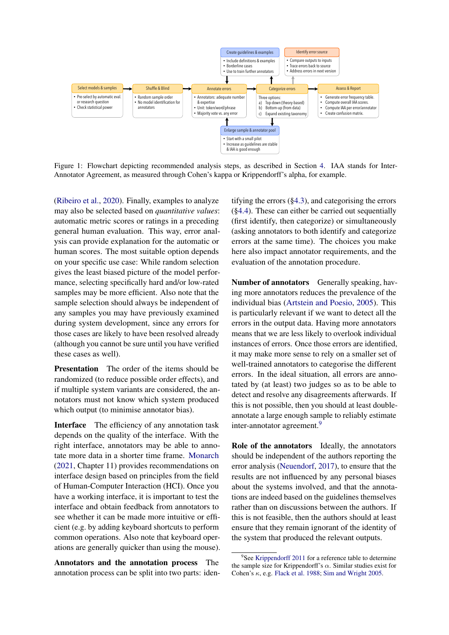<span id="page-4-0"></span>

Figure 1: Flowchart depicting recommended analysis steps, as described in Section [4.](#page-3-0) IAA stands for Inter-Annotator Agreement, as measured through Cohen's kappa or Krippendorff's alpha, for example.

[\(Ribeiro et al.,](#page-11-10) [2020\)](#page-11-10). Finally, examples to analyze may also be selected based on *quantitative values*: automatic metric scores or ratings in a preceding general human evaluation. This way, error analysis can provide explanation for the automatic or human scores. The most suitable option depends on your specific use case: While random selection gives the least biased picture of the model performance, selecting specifically hard and/or low-rated samples may be more efficient. Also note that the sample selection should always be independent of any samples you may have previously examined during system development, since any errors for those cases are likely to have been resolved already (although you cannot be sure until you have verified these cases as well).

Presentation The order of the items should be randomized (to reduce possible order effects), and if multiple system variants are considered, the annotators must not know which system produced which output (to minimise annotator bias).

Interface The efficiency of any annotation task depends on the quality of the interface. With the right interface, annotators may be able to annotate more data in a shorter time frame. [Monarch](#page-11-11) [\(2021,](#page-11-11) Chapter 11) provides recommendations on interface design based on principles from the field of Human-Computer Interaction (HCI). Once you have a working interface, it is important to test the interface and obtain feedback from annotators to see whether it can be made more intuitive or efficient (e.g. by adding keyboard shortcuts to perform common operations. Also note that keyboard operations are generally quicker than using the mouse).

Annotators and the annotation process The annotation process can be split into two parts: identifying the errors ([§4.3\)](#page-5-0), and categorising the errors ([§4.4\)](#page-5-1). These can either be carried out sequentially (first identify, then categorize) or simultaneously (asking annotators to both identify and categorize errors at the same time). The choices you make here also impact annotator requirements, and the evaluation of the annotation procedure.

Number of annotators Generally speaking, having more annotators reduces the prevalence of the individual bias [\(Artstein and Poesio,](#page-8-0) [2005\)](#page-8-0). This is particularly relevant if we want to detect all the errors in the output data. Having more annotators means that we are less likely to overlook individual instances of errors. Once those errors are identified, it may make more sense to rely on a smaller set of well-trained annotators to categorise the different errors. In the ideal situation, all errors are annotated by (at least) two judges so as to be able to detect and resolve any disagreements afterwards. If this is not possible, then you should at least doubleannotate a large enough sample to reliably estimate inter-annotator agreement.<sup>[9](#page-4-1)</sup>

Role of the annotators Ideally, the annotators should be independent of the authors reporting the error analysis [\(Neuendorf,](#page-11-3) [2017\)](#page-11-3), to ensure that the results are not influenced by any personal biases about the systems involved, and that the annotations are indeed based on the guidelines themselves rather than on discussions between the authors. If this is not feasible, then the authors should at least ensure that they remain ignorant of the identity of the system that produced the relevant outputs.

<span id="page-4-1"></span><sup>&</sup>lt;sup>9</sup>See [Krippendorff](#page-10-10) [2011](#page-10-10) for a reference table to determine the sample size for Krippendorff's  $\alpha$ . Similar studies exist for Cohen's  $\kappa$ , e.g. [Flack et al.](#page-9-6) [1988;](#page-9-6) [Sim and Wright](#page-11-12) [2005.](#page-11-12)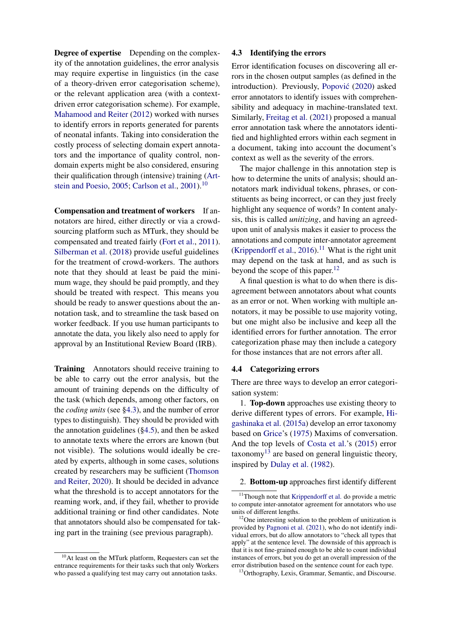Degree of expertise Depending on the complexity of the annotation guidelines, the error analysis may require expertise in linguistics (in the case of a theory-driven error categorisation scheme), or the relevant application area (with a contextdriven error categorisation scheme). For example, [Mahamood and Reiter](#page-10-5) [\(2012\)](#page-10-5) worked with nurses to identify errors in reports generated for parents of neonatal infants. Taking into consideration the costly process of selecting domain expert annotators and the importance of quality control, nondomain experts might be also considered, ensuring their qualification through (intensive) training [\(Art](#page-8-0)[stein and Poesio,](#page-8-0) [2005;](#page-8-0) [Carlson et al.,](#page-9-7) [2001\)](#page-9-7).<sup>[10](#page-5-2)</sup>

Compensation and treatment of workers If annotators are hired, either directly or via a crowdsourcing platform such as MTurk, they should be compensated and treated fairly [\(Fort et al.,](#page-9-8) [2011\)](#page-9-8). [Silberman et al.](#page-11-13) [\(2018\)](#page-11-13) provide useful guidelines for the treatment of crowd-workers. The authors note that they should at least be paid the minimum wage, they should be paid promptly, and they should be treated with respect. This means you should be ready to answer questions about the annotation task, and to streamline the task based on worker feedback. If you use human participants to annotate the data, you likely also need to apply for approval by an Institutional Review Board (IRB).

Training Annotators should receive training to be able to carry out the error analysis, but the amount of training depends on the difficulty of the task (which depends, among other factors, on the *coding units* (see [§4.3\)](#page-5-0), and the number of error types to distinguish). They should be provided with the annotation guidelines  $(\S4.5)$ , and then be asked to annotate texts where the errors are known (but not visible). The solutions would ideally be created by experts, although in some cases, solutions created by researchers may be sufficient [\(Thomson](#page-11-4) [and Reiter,](#page-11-4) [2020\)](#page-11-4). It should be decided in advance what the threshold is to accept annotators for the reaming work, and, if they fail, whether to provide additional training or find other candidates. Note that annotators should also be compensated for taking part in the training (see previous paragraph).

### <span id="page-5-0"></span>4.3 Identifying the errors

Error identification focuses on discovering all errors in the chosen output samples (as defined in the introduction). Previously, Popović [\(2020\)](#page-11-14) asked error annotators to identify issues with comprehensibility and adequacy in machine-translated text. Similarly, [Freitag et al.](#page-9-9) [\(2021\)](#page-9-9) proposed a manual error annotation task where the annotators identified and highlighted errors within each segment in a document, taking into account the document's context as well as the severity of the errors.

The major challenge in this annotation step is how to determine the units of analysis; should annotators mark individual tokens, phrases, or constituents as being incorrect, or can they just freely highlight any sequence of words? In content analysis, this is called *unitizing*, and having an agreedupon unit of analysis makes it easier to process the annotations and compute inter-annotator agreement [\(Krippendorff et al.,](#page-10-11) [2016\)](#page-10-11).<sup>[11](#page-5-3)</sup> What is the right unit may depend on the task at hand, and as such is beyond the scope of this paper. $12$ 

A final question is what to do when there is disagreement between annotators about what counts as an error or not. When working with multiple annotators, it may be possible to use majority voting, but one might also be inclusive and keep all the identified errors for further annotation. The error categorization phase may then include a category for those instances that are not errors after all.

#### <span id="page-5-1"></span>4.4 Categorizing errors

There are three ways to develop an error categorisation system:

1. Top-down approaches use existing theory to derive different types of errors. For example, [Hi](#page-10-12)[gashinaka et al.](#page-10-12) [\(2015a\)](#page-10-12) develop an error taxonomy based on [Grice'](#page-10-13)s [\(1975\)](#page-10-13) Maxims of conversation. And the top levels of [Costa et al.'](#page-9-10)s [\(2015\)](#page-9-10) error taxonomy<sup>[13](#page-5-5)</sup> are based on general linguistic theory, inspired by [Dulay et al.](#page-9-11) [\(1982\)](#page-9-11).

#### 2. Bottom-up approaches first identify different

<span id="page-5-2"></span><sup>&</sup>lt;sup>10</sup>At least on the MTurk platform, Requesters can set the entrance requirements for their tasks such that only Workers who passed a qualifying test may carry out annotation tasks.

<span id="page-5-3"></span><sup>&</sup>lt;sup>11</sup>Though note that [Krippendorff et al.](#page-10-11) do provide a metric to compute inter-annotator agreement for annotators who use units of different lengths.

<span id="page-5-4"></span><sup>&</sup>lt;sup>12</sup>One interesting solution to the problem of unitization is provided by [Pagnoni et al.](#page-11-15) [\(2021\)](#page-11-15), who do not identify individual errors, but do allow annotators to "check all types that apply" at the sentence level. The downside of this approach is that it is not fine-grained enough to be able to count individual instances of errors, but you do get an overall impression of the error distribution based on the sentence count for each type.

<span id="page-5-5"></span><sup>&</sup>lt;sup>13</sup> Orthography, Lexis, Grammar, Semantic, and Discourse.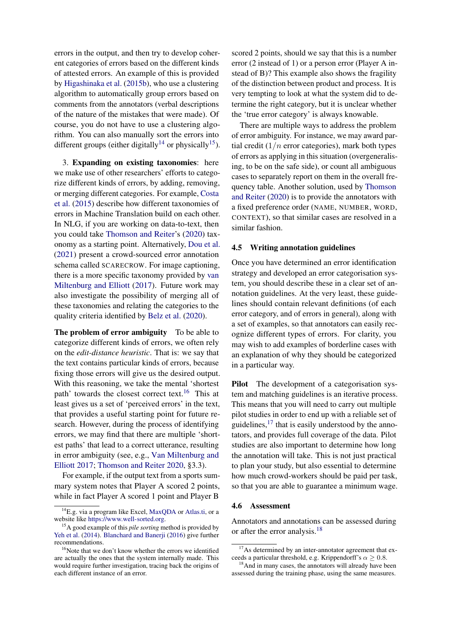errors in the output, and then try to develop coherent categories of errors based on the different kinds of attested errors. An example of this is provided by [Higashinaka et al.](#page-10-14) [\(2015b\)](#page-10-14), who use a clustering algorithm to automatically group errors based on comments from the annotators (verbal descriptions of the nature of the mistakes that were made). Of course, you do not have to use a clustering algorithm. You can also manually sort the errors into different groups (either digitally<sup>[14](#page-6-1)</sup> or physically<sup>[15](#page-6-2)</sup>).

3. Expanding on existing taxonomies: here we make use of other researchers' efforts to categorize different kinds of errors, by adding, removing, or merging different categories. For example, [Costa](#page-9-10) [et al.](#page-9-10) [\(2015\)](#page-9-10) describe how different taxonomies of errors in Machine Translation build on each other. In NLG, if you are working on data-to-text, then you could take [Thomson and Reiter'](#page-11-4)s [\(2020\)](#page-11-4) taxonomy as a starting point. Alternatively, [Dou et al.](#page-9-12) [\(2021\)](#page-9-12) present a crowd-sourced error annotation schema called SCARECROW. For image captioning, there is a more specific taxonomy provided by [van](#page-10-15) [Miltenburg and Elliott](#page-10-15) [\(2017\)](#page-10-15). Future work may also investigate the possibility of merging all of these taxonomies and relating the categories to the quality criteria identified by [Belz et al.](#page-9-0) [\(2020\)](#page-9-0).

The problem of error ambiguity To be able to categorize different kinds of errors, we often rely on the *edit-distance heuristic*. That is: we say that the text contains particular kinds of errors, because fixing those errors will give us the desired output. With this reasoning, we take the mental 'shortest path' towards the closest correct text.<sup>[16](#page-6-3)</sup> This at least gives us a set of 'perceived errors' in the text, that provides a useful starting point for future research. However, during the process of identifying errors, we may find that there are multiple 'shortest paths' that lead to a correct utterance, resulting in error ambiguity (see, e.g., [Van Miltenburg and](#page-10-15) [Elliott](#page-10-15) [2017;](#page-10-15) [Thomson and Reiter](#page-11-4) [2020,](#page-11-4) §3.3).

For example, if the output text from a sports summary system notes that Player A scored 2 points, while in fact Player A scored 1 point and Player B

scored 2 points, should we say that this is a number error (2 instead of 1) or a person error (Player A instead of B)? This example also shows the fragility of the distinction between product and process. It is very tempting to look at what the system did to determine the right category, but it is unclear whether the 'true error category' is always knowable.

There are multiple ways to address the problem of error ambiguity. For instance, we may award partial credit  $(1/n$  error categories), mark both types of errors as applying in this situation (overgeneralising, to be on the safe side), or count all ambiguous cases to separately report on them in the overall frequency table. Another solution, used by [Thomson](#page-11-4) [and Reiter](#page-11-4) [\(2020\)](#page-11-4) is to provide the annotators with a fixed preference order (NAME, NUMBER, WORD, CONTEXT), so that similar cases are resolved in a similar fashion.

## <span id="page-6-0"></span>4.5 Writing annotation guidelines

Once you have determined an error identification strategy and developed an error categorisation system, you should describe these in a clear set of annotation guidelines. At the very least, these guidelines should contain relevant definitions (of each error category, and of errors in general), along with a set of examples, so that annotators can easily recognize different types of errors. For clarity, you may wish to add examples of borderline cases with an explanation of why they should be categorized in a particular way.

Pilot The development of a categorisation system and matching guidelines is an iterative process. This means that you will need to carry out multiple pilot studies in order to end up with a reliable set of guidelines, $17$  that is easily understood by the annotators, and provides full coverage of the data. Pilot studies are also important to determine how long the annotation will take. This is not just practical to plan your study, but also essential to determine how much crowd-workers should be paid per task, so that you are able to guarantee a minimum wage.

## 4.6 Assessment

Annotators and annotations can be assessed during or after the error analysis.<sup>[18](#page-6-5)</sup>

<span id="page-6-1"></span><sup>14</sup>E.g. via a program like Excel, [MaxQDA](https://www.maxqda.com) or [Atlas.ti,](https://atlasti.com) or a website like [https://www.well-sorted.org.](https://www.well-sorted.org)

<span id="page-6-2"></span><sup>15</sup>A good example of this *pile sorting* method is provided by [Yeh et al.](#page-12-2) [\(2014\)](#page-12-2). [Blanchard and Banerji](#page-9-13) [\(2016\)](#page-9-13) give further recommendations.

<span id="page-6-3"></span><sup>&</sup>lt;sup>16</sup>Note that we don't know whether the errors we identified are actually the ones that the system internally made. This would require further investigation, tracing back the origins of each different instance of an error.

<span id="page-6-4"></span> $17\text{As determined by an inter-annotator agreement that ex-}$ ceeds a particular threshold, e.g. Krippendorff's  $\alpha \geq 0.8$ .

<span id="page-6-5"></span><sup>&</sup>lt;sup>18</sup>And in many cases, the annotators will already have been assessed during the training phase, using the same measures.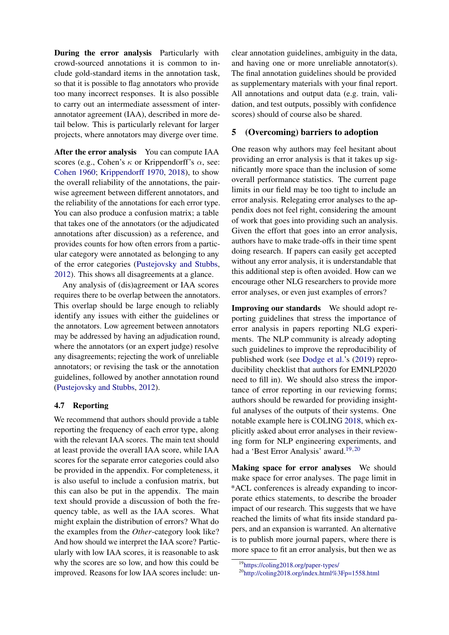During the error analysis Particularly with crowd-sourced annotations it is common to include gold-standard items in the annotation task, so that it is possible to flag annotators who provide too many incorrect responses. It is also possible to carry out an intermediate assessment of interannotator agreement (IAA), described in more detail below. This is particularly relevant for larger projects, where annotators may diverge over time.

After the error analysis You can compute IAA scores (e.g., Cohen's  $\kappa$  or Krippendorff's  $\alpha$ , see: [Cohen](#page-9-14) [1960;](#page-9-14) [Krippendorff](#page-10-16) [1970,](#page-10-16) [2018\)](#page-10-2), to show the overall reliability of the annotations, the pairwise agreement between different annotators, and the reliability of the annotations for each error type. You can also produce a confusion matrix; a table that takes one of the annotators (or the adjudicated annotations after discussion) as a reference, and provides counts for how often errors from a particular category were annotated as belonging to any of the error categories [\(Pustejovsky and Stubbs,](#page-11-2) [2012\)](#page-11-2). This shows all disagreements at a glance.

Any analysis of (dis)agreement or IAA scores requires there to be overlap between the annotators. This overlap should be large enough to reliably identify any issues with either the guidelines or the annotators. Low agreement between annotators may be addressed by having an adjudication round, where the annotators (or an expert judge) resolve any disagreements; rejecting the work of unreliable annotators; or revising the task or the annotation guidelines, followed by another annotation round [\(Pustejovsky and Stubbs,](#page-11-2) [2012\)](#page-11-2).

## 4.7 Reporting

We recommend that authors should provide a table reporting the frequency of each error type, along with the relevant IAA scores. The main text should at least provide the overall IAA score, while IAA scores for the separate error categories could also be provided in the appendix. For completeness, it is also useful to include a confusion matrix, but this can also be put in the appendix. The main text should provide a discussion of both the frequency table, as well as the IAA scores. What might explain the distribution of errors? What do the examples from the *Other*-category look like? And how should we interpret the IAA score? Particularly with low IAA scores, it is reasonable to ask why the scores are so low, and how this could be improved. Reasons for low IAA scores include: un-

clear annotation guidelines, ambiguity in the data, and having one or more unreliable annotator(s). The final annotation guidelines should be provided as supplementary materials with your final report. All annotations and output data (e.g. train, validation, and test outputs, possibly with confidence scores) should of course also be shared.

## <span id="page-7-0"></span>5 (Overcoming) barriers to adoption

One reason why authors may feel hesitant about providing an error analysis is that it takes up significantly more space than the inclusion of some overall performance statistics. The current page limits in our field may be too tight to include an error analysis. Relegating error analyses to the appendix does not feel right, considering the amount of work that goes into providing such an analysis. Given the effort that goes into an error analysis, authors have to make trade-offs in their time spent doing research. If papers can easily get accepted without any error analysis, it is understandable that this additional step is often avoided. How can we encourage other NLG researchers to provide more error analyses, or even just examples of errors?

Improving our standards We should adopt reporting guidelines that stress the importance of error analysis in papers reporting NLG experiments. The NLP community is already adopting such guidelines to improve the reproducibility of published work (see [Dodge et al.'](#page-9-15)s [\(2019\)](#page-9-15) reproducibility checklist that authors for EMNLP2020 need to fill in). We should also stress the importance of error reporting in our reviewing forms; authors should be rewarded for providing insightful analyses of the outputs of their systems. One notable example here is COLING [2018,](#page-9-16) which explicitly asked about error analyses in their reviewing form for NLP engineering experiments, and had a 'Best Error Analysis' award.<sup>[19](#page-7-1),[20](#page-7-2)</sup>

Making space for error analyses We should make space for error analyses. The page limit in \*ACL conferences is already expanding to incorporate ethics statements, to describe the broader impact of our research. This suggests that we have reached the limits of what fits inside standard papers, and an expansion is warranted. An alternative is to publish more journal papers, where there is more space to fit an error analysis, but then we as

<span id="page-7-1"></span><sup>19</sup><https://coling2018.org/paper-types/>

<span id="page-7-2"></span><sup>20</sup><http://coling2018.org/index.html%3Fp=1558.html>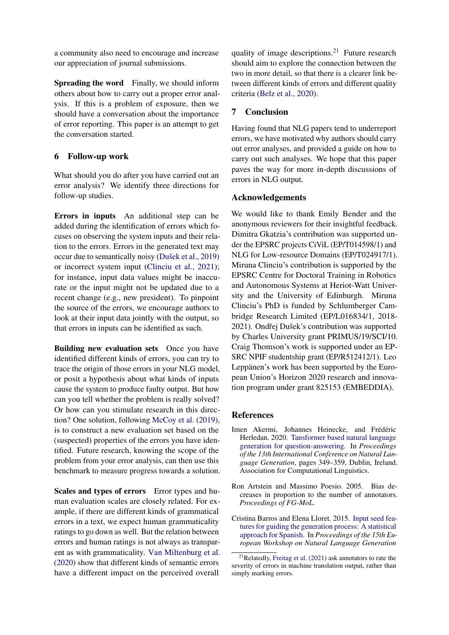a community also need to encourage and increase our appreciation of journal submissions.

Spreading the word Finally, we should inform others about how to carry out a proper error analysis. If this is a problem of exposure, then we should have a conversation about the importance of error reporting. This paper is an attempt to get the conversation started.

# 6 Follow-up work

What should you do after you have carried out an error analysis? We identify three directions for follow-up studies.

Errors in inputs An additional step can be added during the identification of errors which focuses on observing the system inputs and their relation to the errors. Errors in the generated text may occur due to semantically noisy (Dušek et al., [2019\)](#page-9-17) or incorrect system input [\(Clinciu et al.,](#page-9-18) [2021\)](#page-9-18); for instance, input data values might be inaccurate or the input might not be updated due to a recent change (e.g., new president). To pinpoint the source of the errors, we encourage authors to look at their input data jointly with the output, so that errors in inputs can be identified as such.

Building new evaluation sets Once you have identified different kinds of errors, you can try to trace the origin of those errors in your NLG model, or posit a hypothesis about what kinds of inputs cause the system to produce faulty output. But how can you tell whether the problem is really solved? Or how can you stimulate research in this direction? One solution, following [McCoy et al.](#page-10-17) [\(2019\)](#page-10-17), is to construct a new evaluation set based on the (suspected) properties of the errors you have identified. Future research, knowing the scope of the problem from your error analysis, can then use this benchmark to measure progress towards a solution.

Scales and types of errors Error types and human evaluation scales are closely related. For example, if there are different kinds of grammatical errors in a text, we expect human grammaticality ratings to go down as well. But the relation between errors and human ratings is not always as transparent as with grammaticality. [Van Miltenburg et al.](#page-11-16) [\(2020\)](#page-11-16) show that different kinds of semantic errors have a different impact on the perceived overall

quality of image descriptions.<sup>[21](#page-8-1)</sup> Future research should aim to explore the connection between the two in more detail, so that there is a clearer link between different kinds of errors and different quality criteria [\(Belz et al.,](#page-9-0) [2020\)](#page-9-0).

# 7 Conclusion

Having found that NLG papers tend to underreport errors, we have motivated why authors should carry out error analyses, and provided a guide on how to carry out such analyses. We hope that this paper paves the way for more in-depth discussions of errors in NLG output.

## Acknowledgements

We would like to thank Emily Bender and the anonymous reviewers for their insightful feedback. Dimitra Gkatzia's contribution was supported under the EPSRC projects CiViL (EP/T014598/1) and NLG for Low-resource Domains (EP/T024917/1). Miruna Clinciu's contribution is supported by the EPSRC Centre for Doctoral Training in Robotics and Autonomous Systems at Heriot-Watt University and the University of Edinburgh. Miruna Clinciu's PhD is funded by Schlumberger Cambridge Research Limited (EP/L016834/1, 2018- 2021). Ondřej Dušek's contribution was supported by Charles University grant PRIMUS/19/SCI/10. Craig Thomson's work is supported under an EP-SRC NPIF studentship grant (EP/R512412/1). Leo Leppänen's work has been supported by the European Union's Horizon 2020 research and innovation program under grant 825153 (EMBEDDIA).

### References

- <span id="page-8-3"></span>Imen Akermi, Johannes Heinecke, and Frédéric Herledan. 2020. [Tansformer based natural language](https://www.aclweb.org/anthology/2020.inlg-1.41) [generation for question-answering.](https://www.aclweb.org/anthology/2020.inlg-1.41) In *Proceedings of the 13th International Conference on Natural Language Generation*, pages 349–359, Dublin, Ireland. Association for Computational Linguistics.
- <span id="page-8-0"></span>Ron Artstein and Massimo Poesio. 2005. Bias decreases in proportion to the number of annotators. *Proceedings of FG-MoL*.
- <span id="page-8-2"></span>Cristina Barros and Elena Lloret. 2015. [Input seed fea](https://doi.org/10.18653/v1/W15-4702)[tures for guiding the generation process: A statistical](https://doi.org/10.18653/v1/W15-4702) [approach for Spanish.](https://doi.org/10.18653/v1/W15-4702) In *Proceedings of the 15th European Workshop on Natural Language Generation*

<span id="page-8-1"></span><sup>21</sup>Relatedly, [Freitag et al.](#page-9-9) [\(2021\)](#page-9-9) ask annotators to rate the severity of errors in machine translation output, rather than simply marking errors.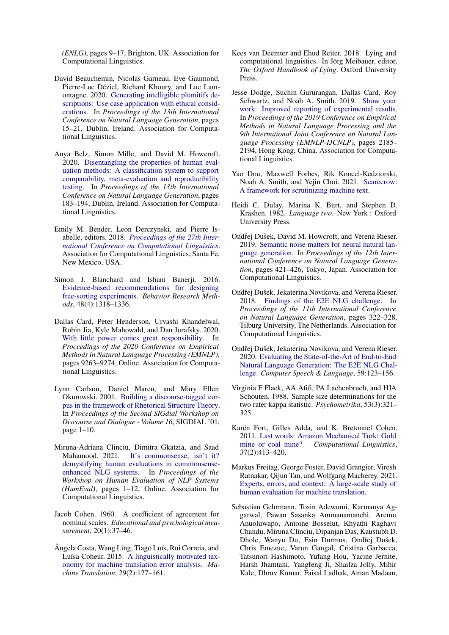*(ENLG)*, pages 9–17, Brighton, UK. Association for Computational Linguistics.

- <span id="page-9-19"></span>David Beauchemin, Nicolas Garneau, Eve Gaumond, Pierre-Luc Déziel, Richard Khoury, and Luc Lamontagne. 2020. [Generating intelligible plumitifs de](https://www.aclweb.org/anthology/2020.inlg-1.3)[scriptions: Use case application with ethical consid](https://www.aclweb.org/anthology/2020.inlg-1.3)[erations.](https://www.aclweb.org/anthology/2020.inlg-1.3) In *Proceedings of the 13th International Conference on Natural Language Generation*, pages 15–21, Dublin, Ireland. Association for Computational Linguistics.
- <span id="page-9-0"></span>Anya Belz, Simon Mille, and David M. Howcroft. 2020. [Disentangling the properties of human eval](https://www.aclweb.org/anthology/2020.inlg-1.24)[uation methods: A classification system to support](https://www.aclweb.org/anthology/2020.inlg-1.24) [comparability, meta-evaluation and reproducibility](https://www.aclweb.org/anthology/2020.inlg-1.24) [testing.](https://www.aclweb.org/anthology/2020.inlg-1.24) In *Proceedings of the 13th International Conference on Natural Language Generation*, pages 183–194, Dublin, Ireland. Association for Computational Linguistics.
- <span id="page-9-16"></span>Emily M. Bender, Leon Derczynski, and Pierre Isabelle, editors. 2018. *[Proceedings of the 27th Inter](https://www.aclweb.org/anthology/C18-1000)[national Conference on Computational Linguistics](https://www.aclweb.org/anthology/C18-1000)*. Association for Computational Linguistics, Santa Fe, New Mexico, USA.
- <span id="page-9-13"></span>Simon J. Blanchard and Ishani Banerji. 2016. [Evidence-based recommendations for designing](https://doi.org/10.3758/s13428-015-0644-6) [free-sorting experiments.](https://doi.org/10.3758/s13428-015-0644-6) *Behavior Research Methods*, 48(4):1318–1336.
- <span id="page-9-5"></span>Dallas Card, Peter Henderson, Urvashi Khandelwal, Robin Jia, Kyle Mahowald, and Dan Jurafsky. 2020. [With little power comes great responsibility.](https://doi.org/10.18653/v1/2020.emnlp-main.745) In *Proceedings of the 2020 Conference on Empirical Methods in Natural Language Processing (EMNLP)*, pages 9263–9274, Online. Association for Computational Linguistics.
- <span id="page-9-7"></span>Lynn Carlson, Daniel Marcu, and Mary Ellen Okurowski. 2001. [Building a discourse-tagged cor](https://doi.org/10.3115/1118078.1118083)[pus in the framework of Rhetorical Structure Theory.](https://doi.org/10.3115/1118078.1118083) In *Proceedings of the Second SIGdial Workshop on Discourse and Dialogue - Volume 16*, SIGDIAL '01, page 1–10.
- <span id="page-9-18"></span>Miruna-Adriana Clinciu, Dimitra Gkatzia, and Saad Mahamood. 2021. [It's commonsense, isn't it?](https://www.aclweb.org/anthology/2021.humeval-1.1) [demystifying human evaluations in commonsense](https://www.aclweb.org/anthology/2021.humeval-1.1)[enhanced NLG systems.](https://www.aclweb.org/anthology/2021.humeval-1.1) In *Proceedings of the Workshop on Human Evaluation of NLP Systems (HumEval)*, pages 1–12, Online. Association for Computational Linguistics.
- <span id="page-9-14"></span>Jacob Cohen. 1960. A coefficient of agreement for nominal scales. *Educational and psychological measurement*, 20(1):37–46.
- <span id="page-9-10"></span>Ângela Costa, Wang Ling, Tiago Luís, Rui Correia, and Luísa Coheur. 2015. [A linguistically motivated tax](https://doi.org/10.1007/s10590-015-9169-0)[onomy for machine translation error analysis.](https://doi.org/10.1007/s10590-015-9169-0) *Machine Translation*, 29(2):127–161.
- <span id="page-9-4"></span>Kees van Deemter and Ehud Reiter. 2018. Lying and computational linguistics. In Jörg Meibauer, editor, *The Oxford Handbook of Lying*. Oxford University Press.
- <span id="page-9-15"></span>Jesse Dodge, Suchin Gururangan, Dallas Card, Roy Schwartz, and Noah A. Smith. 2019. [Show your](https://doi.org/10.18653/v1/D19-1224) [work: Improved reporting of experimental results.](https://doi.org/10.18653/v1/D19-1224) In *Proceedings of the 2019 Conference on Empirical Methods in Natural Language Processing and the 9th International Joint Conference on Natural Language Processing (EMNLP-IJCNLP)*, pages 2185– 2194, Hong Kong, China. Association for Computational Linguistics.
- <span id="page-9-12"></span>Yao Dou, Maxwell Forbes, Rik Koncel-Kedziorski, Noah A. Smith, and Yejin Choi. 2021. [Scarecrow:](http://arxiv.org/abs/2107.01294) [A framework for scrutinizing machine text.](http://arxiv.org/abs/2107.01294)
- <span id="page-9-11"></span>Heidi C. Dulay, Marina K. Burt, and Stephen D. Krashen. 1982. *Language two*. New York : Oxford University Press.
- <span id="page-9-17"></span>Ondřej Dušek, David M. Howcroft, and Verena Rieser. 2019. [Semantic noise matters for neural natural lan](https://doi.org/10.18653/v1/W19-8652)[guage generation.](https://doi.org/10.18653/v1/W19-8652) In *Proceedings of the 12th International Conference on Natural Language Generation*, pages 421–426, Tokyo, Japan. Association for Computational Linguistics.
- <span id="page-9-2"></span>Ondřej Dušek, Jekaterina Novikova, and Verena Rieser. 2018. [Findings of the E2E NLG challenge.](https://doi.org/10.18653/v1/W18-6539) In *Proceedings of the 11th International Conference on Natural Language Generation*, pages 322–328, Tilburg University, The Netherlands. Association for Computational Linguistics.
- <span id="page-9-3"></span>Ondřej Dušek, Jekaterina Novikova, and Verena Rieser. 2020. [Evaluating the State-of-the-Art of End-to-End](https://doi.org/10.1016/j.csl.2019.06.009) [Natural Language Generation: The E2E NLG Chal](https://doi.org/10.1016/j.csl.2019.06.009)[lenge.](https://doi.org/10.1016/j.csl.2019.06.009) *Computer Speech & Language*, 59:123–156.
- <span id="page-9-6"></span>Virginia F Flack, AA Afifi, PA Lachenbruch, and HJA Schouten. 1988. Sample size determinations for the two rater kappa statistic. *Psychometrika*, 53(3):321– 325.
- <span id="page-9-8"></span>Karën Fort, Gilles Adda, and K. Bretonnel Cohen. 2011. [Last words: Amazon Mechanical Turk: Gold](https://doi.org/10.1162/COLI_a_00057) [mine or coal mine?](https://doi.org/10.1162/COLI_a_00057) *Computational Linguistics*, 37(2):413–420.
- <span id="page-9-9"></span>Markus Freitag, George Foster, David Grangier, Viresh Ratnakar, Qijun Tan, and Wolfgang Macherey. 2021. [Experts, errors, and context: A large-scale study of](http://arxiv.org/abs/2104.14478) [human evaluation for machine translation.](http://arxiv.org/abs/2104.14478)
- <span id="page-9-1"></span>Sebastian Gehrmann, Tosin Adewumi, Karmanya Aggarwal, Pawan Sasanka Ammanamanchi, Aremu Anuoluwapo, Antoine Bosselut, Khyathi Raghavi Chandu, Miruna Clinciu, Dipanjan Das, Kaustubh D. Dhole, Wanyu Du, Esin Durmus, Ondřej Dušek, Chris Emezue, Varun Gangal, Cristina Garbacea, Tatsunori Hashimoto, Yufang Hou, Yacine Jernite, Harsh Jhamtani, Yangfeng Ji, Shailza Jolly, Mihir Kale, Dhruv Kumar, Faisal Ladhak, Aman Madaan,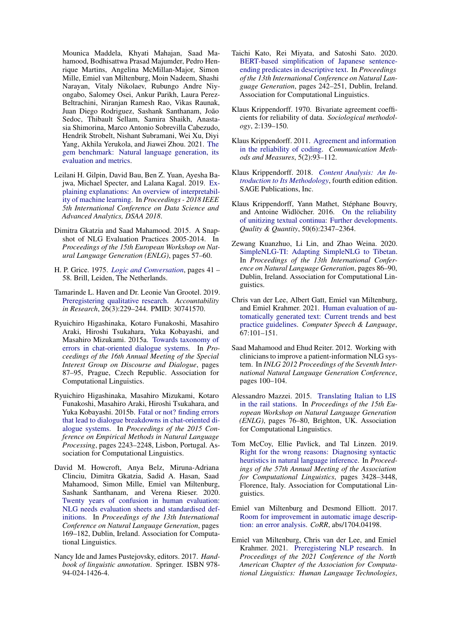Mounica Maddela, Khyati Mahajan, Saad Mahamood, Bodhisattwa Prasad Majumder, Pedro Henrique Martins, Angelina McMillan-Major, Simon Mille, Emiel van Miltenburg, Moin Nadeem, Shashi Narayan, Vitaly Nikolaev, Rubungo Andre Niyongabo, Salomey Osei, Ankur Parikh, Laura Perez-Beltrachini, Niranjan Ramesh Rao, Vikas Raunak, Juan Diego Rodriguez, Sashank Santhanam, João Sedoc, Thibault Sellam, Samira Shaikh, Anastasia Shimorina, Marco Antonio Sobrevilla Cabezudo, Hendrik Strobelt, Nishant Subramani, Wei Xu, Diyi Yang, Akhila Yerukola, and Jiawei Zhou. 2021. [The](http://arxiv.org/abs/2102.01672) [gem benchmark: Natural language generation, its](http://arxiv.org/abs/2102.01672) [evaluation and metrics.](http://arxiv.org/abs/2102.01672)

- <span id="page-10-6"></span>Leilani H. Gilpin, David Bau, Ben Z. Yuan, Ayesha Bajwa, Michael Specter, and Lalana Kagal. 2019. [Ex](https://doi.org/10.1109/DSAA.2018.00018)[plaining explanations: An overview of interpretabil](https://doi.org/10.1109/DSAA.2018.00018)[ity of machine learning.](https://doi.org/10.1109/DSAA.2018.00018) In *Proceedings - 2018 IEEE 5th International Conference on Data Science and Advanced Analytics, DSAA 2018*.
- <span id="page-10-4"></span>Dimitra Gkatzia and Saad Mahamood. 2015. A Snapshot of NLG Evaluation Practices 2005-2014. In *Proceedings of the 15th European Workshop on Natural Language Generation (ENLG)*, pages 57–60.
- <span id="page-10-13"></span>H. P. Grice. 1975. *[Logic and Conversation](https://doi.org/https://doi.org/10.1163/9789004368811_003)*, pages 41 – 58. Brill, Leiden, The Netherlands.
- <span id="page-10-7"></span>Tamarinde L. Haven and Dr. Leonie Van Grootel. 2019. [Preregistering qualitative research.](https://doi.org/10.1080/08989621.2019.1580147) *Accountability in Research*, 26(3):229–244. PMID: 30741570.
- <span id="page-10-12"></span>Ryuichiro Higashinaka, Kotaro Funakoshi, Masahiro Araki, Hiroshi Tsukahara, Yuka Kobayashi, and Masahiro Mizukami. 2015a. [Towards taxonomy of](https://doi.org/10.18653/v1/W15-4611) [errors in chat-oriented dialogue systems.](https://doi.org/10.18653/v1/W15-4611) In *Proceedings of the 16th Annual Meeting of the Special Interest Group on Discourse and Dialogue*, pages 87–95, Prague, Czech Republic. Association for Computational Linguistics.
- <span id="page-10-14"></span>Ryuichiro Higashinaka, Masahiro Mizukami, Kotaro Funakoshi, Masahiro Araki, Hiroshi Tsukahara, and Yuka Kobayashi. 2015b. [Fatal or not? finding errors](https://doi.org/10.18653/v1/D15-1268) [that lead to dialogue breakdowns in chat-oriented di](https://doi.org/10.18653/v1/D15-1268)[alogue systems.](https://doi.org/10.18653/v1/D15-1268) In *Proceedings of the 2015 Conference on Empirical Methods in Natural Language Processing*, pages 2243–2248, Lisbon, Portugal. Association for Computational Linguistics.
- <span id="page-10-0"></span>David M. Howcroft, Anya Belz, Miruna-Adriana Clinciu, Dimitra Gkatzia, Sadid A. Hasan, Saad Mahamood, Simon Mille, Emiel van Miltenburg, Sashank Santhanam, and Verena Rieser. 2020. [Twenty years of confusion in human evaluation:](https://www.aclweb.org/anthology/2020.inlg-1.23) [NLG needs evaluation sheets and standardised def](https://www.aclweb.org/anthology/2020.inlg-1.23)[initions.](https://www.aclweb.org/anthology/2020.inlg-1.23) In *Proceedings of the 13th International Conference on Natural Language Generation*, pages 169–182, Dublin, Ireland. Association for Computational Linguistics.
- <span id="page-10-1"></span>Nancy Ide and James Pustejovsky, editors. 2017. *Handbook of linguistic annotation*. Springer. ISBN 978- 94-024-1426-4.
- <span id="page-10-19"></span>Taichi Kato, Rei Miyata, and Satoshi Sato. 2020. [BERT-based simplification of Japanese sentence](https://www.aclweb.org/anthology/2020.inlg-1.31)[ending predicates in descriptive text.](https://www.aclweb.org/anthology/2020.inlg-1.31) In *Proceedings of the 13th International Conference on Natural Language Generation*, pages 242–251, Dublin, Ireland. Association for Computational Linguistics.
- <span id="page-10-16"></span>Klaus Krippendorff. 1970. Bivariate agreement coefficients for reliability of data. *Sociological methodology*, 2:139–150.
- <span id="page-10-10"></span>Klaus Krippendorff. 2011. [Agreement and information](https://doi.org/10.1080/19312458.2011.568376) [in the reliability of coding.](https://doi.org/10.1080/19312458.2011.568376) *Communication Methods and Measures*, 5(2):93–112.
- <span id="page-10-2"></span>Klaus Krippendorff. 2018. *[Content Analysis: An In](https://us.sagepub.com/en-us/nam/content-analysis/book258450)[troduction to Its Methodology](https://us.sagepub.com/en-us/nam/content-analysis/book258450)*, fourth edition edition. SAGE Publications, Inc.
- <span id="page-10-11"></span>Klaus Krippendorff, Yann Mathet, Stéphane Bouvry, and Antoine Widlöcher. 2016. [On the reliability](https://doi.org/10.1007/s11135-015-0266-1) [of unitizing textual continua: Further developments.](https://doi.org/10.1007/s11135-015-0266-1) *Quality & Quantity*, 50(6):2347–2364.
- <span id="page-10-18"></span>Zewang Kuanzhuo, Li Lin, and Zhao Weina. 2020. [SimpleNLG-TI: Adapting SimpleNLG to Tibetan.](https://www.aclweb.org/anthology/2020.inlg-1.12) In *Proceedings of the 13th International Conference on Natural Language Generation*, pages 86–90, Dublin, Ireland. Association for Computational Linguistics.
- <span id="page-10-9"></span>Chris van der Lee, Albert Gatt, Emiel van Miltenburg, and Emiel Krahmer. 2021. [Human evaluation of au](https://doi.org/10.1016/j.csl.2020.101151)[tomatically generated text: Current trends and best](https://doi.org/10.1016/j.csl.2020.101151) [practice guidelines.](https://doi.org/10.1016/j.csl.2020.101151) *Computer Speech & Language*, 67:101–151.
- <span id="page-10-5"></span>Saad Mahamood and Ehud Reiter. 2012. Working with clinicians to improve a patient-information NLG system. In *INLG 2012 Proceedings of the Seventh International Natural Language Generation Conference*, pages 100–104.
- <span id="page-10-3"></span>Alessandro Mazzei. 2015. [Translating Italian to LIS](https://doi.org/10.18653/v1/W15-4712) [in the rail stations.](https://doi.org/10.18653/v1/W15-4712) In *Proceedings of the 15th European Workshop on Natural Language Generation (ENLG)*, pages 76–80, Brighton, UK. Association for Computational Linguistics.
- <span id="page-10-17"></span>Tom McCoy, Ellie Pavlick, and Tal Linzen. 2019. [Right for the wrong reasons: Diagnosing syntactic](https://doi.org/10.18653/v1/P19-1334) [heuristics in natural language inference.](https://doi.org/10.18653/v1/P19-1334) In *Proceedings of the 57th Annual Meeting of the Association for Computational Linguistics*, pages 3428–3448, Florence, Italy. Association for Computational Linguistics.
- <span id="page-10-15"></span>Emiel van Miltenburg and Desmond Elliott. 2017. [Room for improvement in automatic image descrip](http://arxiv.org/abs/1704.04198)[tion: an error analysis.](http://arxiv.org/abs/1704.04198) *CoRR*, abs/1704.04198.
- <span id="page-10-8"></span>Emiel van Miltenburg, Chris van der Lee, and Emiel Krahmer. 2021. [Preregistering NLP research.](https://www.aclweb.org/anthology/2021.naacl-main.51) In *Proceedings of the 2021 Conference of the North American Chapter of the Association for Computational Linguistics: Human Language Technologies*,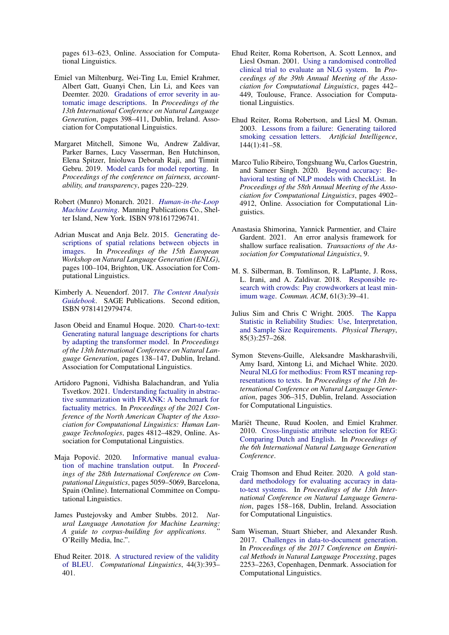pages 613–623, Online. Association for Computational Linguistics.

- <span id="page-11-16"></span>Emiel van Miltenburg, Wei-Ting Lu, Emiel Krahmer, Albert Gatt, Guanyi Chen, Lin Li, and Kees van Deemter. 2020. [Gradations of error severity in au](https://www.aclweb.org/anthology/2020.inlg-1.45)[tomatic image descriptions.](https://www.aclweb.org/anthology/2020.inlg-1.45) In *Proceedings of the 13th International Conference on Natural Language Generation*, pages 398–411, Dublin, Ireland. Association for Computational Linguistics.
- <span id="page-11-7"></span>Margaret Mitchell, Simone Wu, Andrew Zaldivar, Parker Barnes, Lucy Vasserman, Ben Hutchinson, Elena Spitzer, Inioluwa Deborah Raji, and Timnit Gebru. 2019. [Model cards for model reporting.](https://doi.org/10.1145/3287560.3287596) In *Proceedings of the conference on fairness, accountability, and transparency*, pages 220–229.
- <span id="page-11-11"></span>Robert (Munro) Monarch. 2021. *[Human-in-the-Loop](https://www.manning.com/books/human-in-the-loop-machine-learning) [Machine Learning](https://www.manning.com/books/human-in-the-loop-machine-learning)*. Manning Publications Co., Shelter Island, New York. ISBN 9781617296741.
- <span id="page-11-17"></span>Adrian Muscat and Anja Belz. 2015. [Generating de](https://doi.org/10.18653/v1/W15-4717)[scriptions of spatial relations between objects in](https://doi.org/10.18653/v1/W15-4717) [images.](https://doi.org/10.18653/v1/W15-4717) In *Proceedings of the 15th European Workshop on Natural Language Generation (ENLG)*, pages 100–104, Brighton, UK. Association for Computational Linguistics.
- <span id="page-11-3"></span>Kimberly A. Neuendorf. 2017. *[The Content Analysis](https://doi.org/https://dx.doi.org/10.4135/9781071802878) [Guidebook](https://doi.org/https://dx.doi.org/10.4135/9781071802878)*. SAGE Publications. Second edition, ISBN 9781412979474.
- <span id="page-11-19"></span>Jason Obeid and Enamul Hoque. 2020. [Chart-to-text:](https://www.aclweb.org/anthology/2020.inlg-1.20) [Generating natural language descriptions for charts](https://www.aclweb.org/anthology/2020.inlg-1.20) [by adapting the transformer model.](https://www.aclweb.org/anthology/2020.inlg-1.20) In *Proceedings of the 13th International Conference on Natural Language Generation*, pages 138–147, Dublin, Ireland. Association for Computational Linguistics.
- <span id="page-11-15"></span>Artidoro Pagnoni, Vidhisha Balachandran, and Yulia Tsvetkov. 2021. [Understanding factuality in abstrac](https://www.aclweb.org/anthology/2021.naacl-main.383)[tive summarization with FRANK: A benchmark for](https://www.aclweb.org/anthology/2021.naacl-main.383) [factuality metrics.](https://www.aclweb.org/anthology/2021.naacl-main.383) In *Proceedings of the 2021 Conference of the North American Chapter of the Association for Computational Linguistics: Human Language Technologies*, pages 4812–4829, Online. Association for Computational Linguistics.
- <span id="page-11-14"></span>Maja Popović. 2020. [Informative manual evalua](https://www.aclweb.org/anthology/2020.coling-main.444)[tion of machine translation output.](https://www.aclweb.org/anthology/2020.coling-main.444) In *Proceedings of the 28th International Conference on Computational Linguistics*, pages 5059–5069, Barcelona, Spain (Online). International Committee on Computational Linguistics.
- <span id="page-11-2"></span>James Pustejovsky and Amber Stubbs. 2012. *Natural Language Annotation for Machine Learning: A guide to corpus-building for applications*. " O'Reilly Media, Inc.".
- <span id="page-11-9"></span>Ehud Reiter. 2018. [A structured review of the validity](https://doi.org/10.1162/coli_a_00322) [of BLEU.](https://doi.org/10.1162/coli_a_00322) *Computational Linguistics*, 44(3):393– 401.
- <span id="page-11-1"></span>Ehud Reiter, Roma Robertson, A. Scott Lennox, and Liesl Osman. 2001. [Using a randomised controlled](https://doi.org/10.3115/1073012.1073069) [clinical trial to evaluate an NLG system.](https://doi.org/10.3115/1073012.1073069) In *Proceedings of the 39th Annual Meeting of the Association for Computational Linguistics*, pages 442– 449, Toulouse, France. Association for Computational Linguistics.
- <span id="page-11-0"></span>Ehud Reiter, Roma Robertson, and Liesl M. Osman. 2003. [Lessons from a failure: Generating tailored](https://doi.org/https://doi.org/10.1016/S0004-3702(02)00370-3) [smoking cessation letters.](https://doi.org/https://doi.org/10.1016/S0004-3702(02)00370-3) *Artificial Intelligence*, 144(1):41–58.
- <span id="page-11-10"></span>Marco Tulio Ribeiro, Tongshuang Wu, Carlos Guestrin, and Sameer Singh. 2020. [Beyond accuracy: Be](https://doi.org/10.18653/v1/2020.acl-main.442)[havioral testing of NLP models with CheckList.](https://doi.org/10.18653/v1/2020.acl-main.442) In *Proceedings of the 58th Annual Meeting of the Association for Computational Linguistics*, pages 4902– 4912, Online. Association for Computational Linguistics.
- <span id="page-11-5"></span>Anastasia Shimorina, Yannick Parmentier, and Claire Gardent. 2021. An error analysis framework for shallow surface realisation. *Transactions of the Association for Computational Linguistics*, 9.
- <span id="page-11-13"></span>M. S. Silberman, B. Tomlinson, R. LaPlante, J. Ross, L. Irani, and A. Zaldivar. 2018. [Responsible re](https://doi.org/10.1145/3180492)[search with crowds: Pay crowdworkers at least min](https://doi.org/10.1145/3180492)[imum wage.](https://doi.org/10.1145/3180492) *Commun. ACM*, 61(3):39–41.
- <span id="page-11-12"></span>Julius Sim and Chris C Wright. 2005. [The Kappa](https://doi.org/10.1093/ptj/85.3.257) [Statistic in Reliability Studies: Use, Interpretation,](https://doi.org/10.1093/ptj/85.3.257) [and Sample Size Requirements.](https://doi.org/10.1093/ptj/85.3.257) *Physical Therapy*, 85(3):257–268.
- <span id="page-11-6"></span>Symon Stevens-Guille, Aleksandre Maskharashvili, Amy Isard, Xintong Li, and Michael White. 2020. [Neural NLG for methodius: From RST meaning rep](https://www.aclweb.org/anthology/2020.inlg-1.37)[resentations to texts.](https://www.aclweb.org/anthology/2020.inlg-1.37) In *Proceedings of the 13th International Conference on Natural Language Generation*, pages 306–315, Dublin, Ireland. Association for Computational Linguistics.
- <span id="page-11-18"></span>Mariët Theune, Ruud Koolen, and Emiel Krahmer. 2010. [Cross-linguistic attribute selection for REG:](https://www.aclweb.org/anthology/W10-4221) [Comparing Dutch and English.](https://www.aclweb.org/anthology/W10-4221) In *Proceedings of the 6th International Natural Language Generation Conference*.
- <span id="page-11-4"></span>Craig Thomson and Ehud Reiter. 2020. [A gold stan](https://www.aclweb.org/anthology/2020.inlg-1.22)[dard methodology for evaluating accuracy in data](https://www.aclweb.org/anthology/2020.inlg-1.22)[to-text systems.](https://www.aclweb.org/anthology/2020.inlg-1.22) In *Proceedings of the 13th International Conference on Natural Language Generation*, pages 158–168, Dublin, Ireland. Association for Computational Linguistics.
- <span id="page-11-8"></span>Sam Wiseman, Stuart Shieber, and Alexander Rush. 2017. [Challenges in data-to-document generation.](https://doi.org/10.18653/v1/D17-1239) In *Proceedings of the 2017 Conference on Empirical Methods in Natural Language Processing*, pages 2253–2263, Copenhagen, Denmark. Association for Computational Linguistics.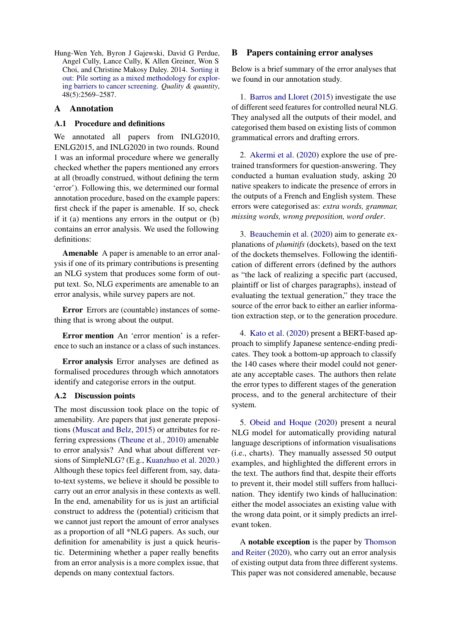<span id="page-12-2"></span>Hung-Wen Yeh, Byron J Gajewski, David G Perdue, Angel Cully, Lance Cully, K Allen Greiner, Won S Choi, and Christine Makosy Daley. 2014. [Sorting it](https://doi.org/10.1007/s11135-013-9908-3) [out: Pile sorting as a mixed methodology for explor](https://doi.org/10.1007/s11135-013-9908-3)[ing barriers to cancer screening.](https://doi.org/10.1007/s11135-013-9908-3) *Quality & quantity*, 48(5):2569–2587.

# <span id="page-12-0"></span>A Annotation

# A.1 Procedure and definitions

We annotated all papers from INLG2010, ENLG2015, and INLG2020 in two rounds. Round 1 was an informal procedure where we generally checked whether the papers mentioned any errors at all (broadly construed, without defining the term 'error'). Following this, we determined our formal annotation procedure, based on the example papers: first check if the paper is amenable. If so, check if it (a) mentions any errors in the output or (b) contains an error analysis. We used the following definitions:

Amenable A paper is amenable to an error analysis if one of its primary contributions is presenting an NLG system that produces some form of output text. So, NLG experiments are amenable to an error analysis, while survey papers are not.

Error Errors are (countable) instances of something that is wrong about the output.

Error mention An 'error mention' is a reference to such an instance or a class of such instances.

Error analysis Error analyses are defined as formalised procedures through which annotators identify and categorise errors in the output.

# A.2 Discussion points

The most discussion took place on the topic of amenability. Are papers that just generate prepositions [\(Muscat and Belz,](#page-11-17) [2015\)](#page-11-17) or attributes for referring expressions [\(Theune et al.,](#page-11-18) [2010\)](#page-11-18) amenable to error analysis? And what about different versions of SimpleNLG? (E.g., [Kuanzhuo et al.](#page-10-18) [2020.](#page-10-18)) Although these topics feel different from, say, datato-text systems, we believe it should be possible to carry out an error analysis in these contexts as well. In the end, amenability for us is just an artificial construct to address the (potential) criticism that we cannot just report the amount of error analyses as a proportion of all \*NLG papers. As such, our definition for amenability is just a quick heuristic. Determining whether a paper really benefits from an error analysis is a more complex issue, that depends on many contextual factors.

## <span id="page-12-1"></span>B Papers containing error analyses

Below is a brief summary of the error analyses that we found in our annotation study.

1. [Barros and Lloret](#page-8-2) [\(2015\)](#page-8-2) investigate the use of different seed features for controlled neural NLG. They analysed all the outputs of their model, and categorised them based on existing lists of common grammatical errors and drafting errors.

2. [Akermi et al.](#page-8-3) [\(2020\)](#page-8-3) explore the use of pretrained transformers for question-answering. They conducted a human evaluation study, asking 20 native speakers to indicate the presence of errors in the outputs of a French and English system. These errors were categorised as: *extra words, grammar, missing words, wrong preposition, word order*.

3. [Beauchemin et al.](#page-9-19) [\(2020\)](#page-9-19) aim to generate explanations of *plumitifs* (dockets), based on the text of the dockets themselves. Following the identification of different errors (defined by the authors as "the lack of realizing a specific part (accused, plaintiff or list of charges paragraphs), instead of evaluating the textual generation," they trace the source of the error back to either an earlier information extraction step, or to the generation procedure.

4. [Kato et al.](#page-10-19) [\(2020\)](#page-10-19) present a BERT-based approach to simplify Japanese sentence-ending predicates. They took a bottom-up approach to classify the 140 cases where their model could not generate any acceptable cases. The authors then relate the error types to different stages of the generation process, and to the general architecture of their system.

5. [Obeid and Hoque](#page-11-19) [\(2020\)](#page-11-19) present a neural NLG model for automatically providing natural language descriptions of information visualisations (i.e., charts). They manually assessed 50 output examples, and highlighted the different errors in the text. The authors find that, despite their efforts to prevent it, their model still suffers from hallucination. They identify two kinds of hallucination: either the model associates an existing value with the wrong data point, or it simply predicts an irrelevant token.

A notable exception is the paper by [Thomson](#page-11-4) [and Reiter](#page-11-4) [\(2020\)](#page-11-4), who carry out an error analysis of existing output data from three different systems. This paper was not considered amenable, because